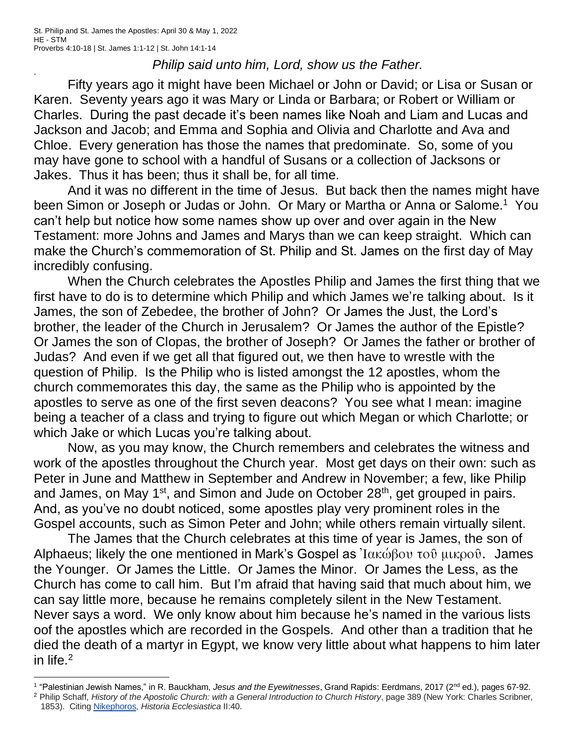+

## *Philip said unto him, Lord, show us the Father.*

Fifty years ago it might have been Michael or John or David; or Lisa or Susan or Karen. Seventy years ago it was Mary or Linda or Barbara; or Robert or William or Charles. During the past decade it's been names like Noah and Liam and Lucas and Jackson and Jacob; and Emma and Sophia and Olivia and Charlotte and Ava and Chloe. Every generation has those the names that predominate. So, some of you may have gone to school with a handful of Susans or a collection of Jacksons or Jakes. Thus it has been; thus it shall be, for all time.

And it was no different in the time of Jesus. But back then the names might have been Simon or Joseph or Judas or John. Or Mary or Martha or Anna or Salome.<sup>1</sup> You can't help but notice how some names show up over and over again in the New Testament: more Johns and James and Marys than we can keep straight. Which can make the Church's commemoration of St. Philip and St. James on the first day of May incredibly confusing.

When the Church celebrates the Apostles Philip and James the first thing that we first have to do is to determine which Philip and which James we're talking about. Is it James, the son of Zebedee, the brother of John? Or James the Just, the Lord's brother, the leader of the Church in Jerusalem? Or James the author of the Epistle? Or James the son of Clopas, the brother of Joseph? Or James the father or brother of Judas? And even if we get all that figured out, we then have to wrestle with the question of Philip. Is the Philip who is listed amongst the 12 apostles, whom the church commemorates this day, the same as the Philip who is appointed by the apostles to serve as one of the first seven deacons? You see what I mean: imagine being a teacher of a class and trying to figure out which Megan or which Charlotte; or which Jake or which Lucas you're talking about.

Now, as you may know, the Church remembers and celebrates the witness and work of the apostles throughout the Church year. Most get days on their own: such as Peter in June and Matthew in September and Andrew in November; a few, like Philip and James, on May 1<sup>st</sup>, and Simon and Jude on October 28<sup>th</sup>, get grouped in pairs. And, as you've no doubt noticed, some apostles play very prominent roles in the Gospel accounts, such as Simon Peter and John; while others remain virtually silent.

The James that the Church celebrates at this time of year is James, the son of Alphaeus; likely the one mentioned in Mark's Gospel as  $\alpha$ <sup>'</sup>Ιακώβου τοῦ μικροῦ. James the Younger. Or James the Little. Or James the Minor. Or James the Less, as the Church has come to call him. But I'm afraid that having said that much about him, we can say little more, because he remains completely silent in the New Testament. Never says a word. We only know about him because he's named in the various lists oof the apostles which are recorded in the Gospels. And other than a tradition that he died the death of a martyr in Egypt, we know very little about what happens to him later in life. $<sup>2</sup>$ </sup>

<sup>1</sup> "Palestinian Jewish Names," in R. Bauckham, *Jesus and the Eyewitnesses*, Grand Rapids: Eerdmans, 2017 (2nd ed.), pages 67-92.

<sup>2</sup> Philip Schaff, *History of the Apostolic Church: with a General Introduction to Church History*, page 389 (New York: Charles Scribner, 1853). Citing [Nikephoros,](https://en.wikipedia.org/wiki/Nikephoros_Kallistos_Xanthopoulos) *Historia Ecclesiastica* II:40.